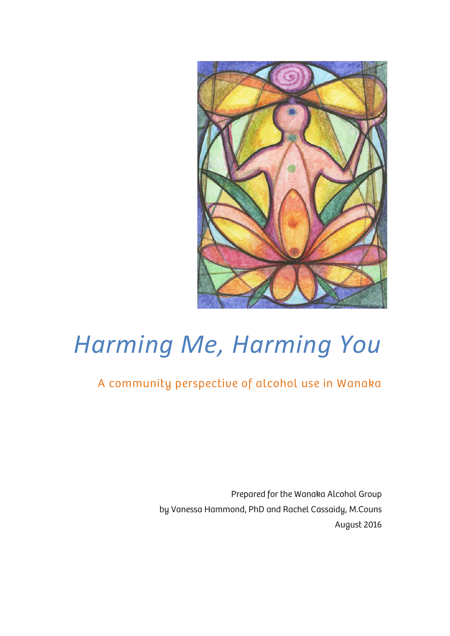

# *Harming Me, Harming You*

### A community perspective of alcohol use in Wanaka

Prepared for the Wanaka Alcohol Group by Vanessa Hammond, PhD and Rachel Cassaidy, M.Couns August 2016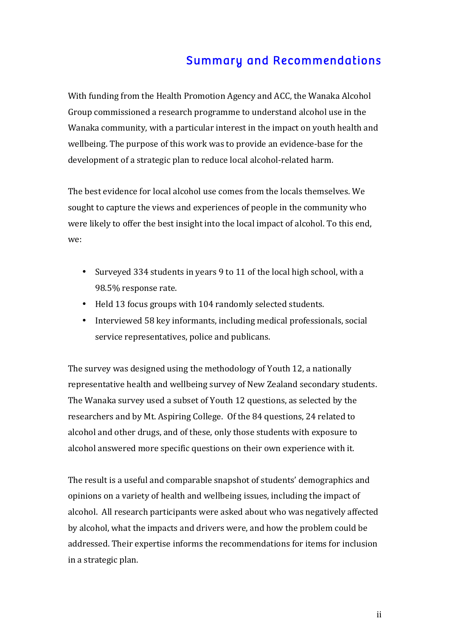### Summary and Recommendations

With funding from the Health Promotion Agency and ACC, the Wanaka Alcohol Group commissioned a research programme to understand alcohol use in the Wanaka community, with a particular interest in the impact on youth health and wellbeing. The purpose of this work was to provide an evidence-base for the development of a strategic plan to reduce local alcohol-related harm.

The best evidence for local alcohol use comes from the locals themselves. We sought to capture the views and experiences of people in the community who were likely to offer the best insight into the local impact of alcohol. To this end, we:

- Surveyed 334 students in years 9 to 11 of the local high school, with a 98.5% response rate.
- Held 13 focus groups with 104 randomly selected students.
- Interviewed 58 key informants, including medical professionals, social service representatives, police and publicans.

The survey was designed using the methodology of Youth 12, a nationally representative health and wellbeing survey of New Zealand secondary students. The Wanaka survey used a subset of Youth 12 questions, as selected by the researchers and by Mt. Aspiring College. Of the 84 questions, 24 related to alcohol and other drugs, and of these, only those students with exposure to alcohol answered more specific questions on their own experience with it.

The result is a useful and comparable snapshot of students' demographics and opinions on a variety of health and wellbeing issues, including the impact of alcohol. All research participants were asked about who was negatively affected by alcohol, what the impacts and drivers were, and how the problem could be addressed. Their expertise informs the recommendations for items for inclusion in a strategic plan.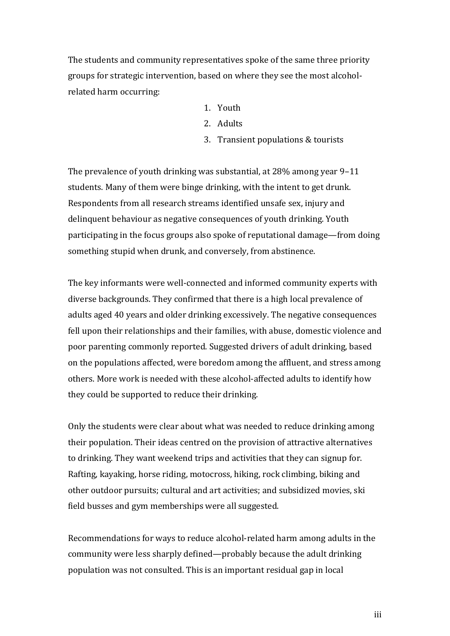The students and community representatives spoke of the same three priority groups for strategic intervention, based on where they see the most alcoholrelated harm occurring:

- 1. Youth
- 2. Adults
- 3. Transient populations & tourists

The prevalence of youth drinking was substantial, at  $28\%$  among year 9–11 students. Many of them were binge drinking, with the intent to get drunk. Respondents from all research streams identified unsafe sex, injury and delinquent behaviour as negative consequences of youth drinking. Youth participating in the focus groups also spoke of reputational damage—from doing something stupid when drunk, and conversely, from abstinence.

The key informants were well-connected and informed community experts with diverse backgrounds. They confirmed that there is a high local prevalence of adults aged 40 years and older drinking excessively. The negative consequences fell upon their relationships and their families, with abuse, domestic violence and poor parenting commonly reported. Suggested drivers of adult drinking, based on the populations affected, were boredom among the affluent, and stress among others. More work is needed with these alcohol-affected adults to identify how they could be supported to reduce their drinking.

Only the students were clear about what was needed to reduce drinking among their population. Their ideas centred on the provision of attractive alternatives to drinking. They want weekend trips and activities that they can signup for. Rafting, kayaking, horse riding, motocross, hiking, rock climbing, biking and other outdoor pursuits; cultural and art activities; and subsidized movies, ski field busses and gym memberships were all suggested.

Recommendations for ways to reduce alcohol-related harm among adults in the community were less sharply defined—probably because the adult drinking population was not consulted. This is an important residual gap in local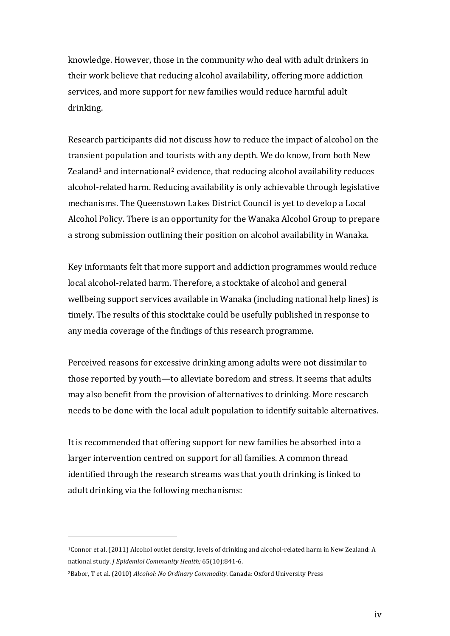knowledge. However, those in the community who deal with adult drinkers in their work believe that reducing alcohol availability, offering more addiction services, and more support for new families would reduce harmful adult drinking.

Research participants did not discuss how to reduce the impact of alcohol on the transient population and tourists with any depth. We do know, from both New Zealand<sup>1</sup> and international<sup>2</sup> evidence, that reducing alcohol availability reduces alcohol-related harm. Reducing availability is only achievable through legislative mechanisms. The Queenstown Lakes District Council is yet to develop a Local Alcohol Policy. There is an opportunity for the Wanaka Alcohol Group to prepare a strong submission outlining their position on alcohol availability in Wanaka.

Key informants felt that more support and addiction programmes would reduce local alcohol-related harm. Therefore, a stocktake of alcohol and general wellbeing support services available in Wanaka (including national help lines) is timely. The results of this stocktake could be usefully published in response to any media coverage of the findings of this research programme.

Perceived reasons for excessive drinking among adults were not dissimilar to those reported by youth—to alleviate boredom and stress. It seems that adults may also benefit from the provision of alternatives to drinking. More research needs to be done with the local adult population to identify suitable alternatives.

It is recommended that offering support for new families be absorbed into a larger intervention centred on support for all families. A common thread identified through the research streams was that youth drinking is linked to adult drinking via the following mechanisms:

 

<sup>&</sup>lt;sup>1</sup>Connor et al. (2011) Alcohol outlet density, levels of drinking and alcohol-related harm in New Zealand: A national study. *J Epidemiol Community Health;* 65(10):841-6.

<sup>&</sup>lt;sup>2</sup>Babor, T et al. (2010) *Alcohol: No Ordinary Commodity.* Canada: Oxford University Press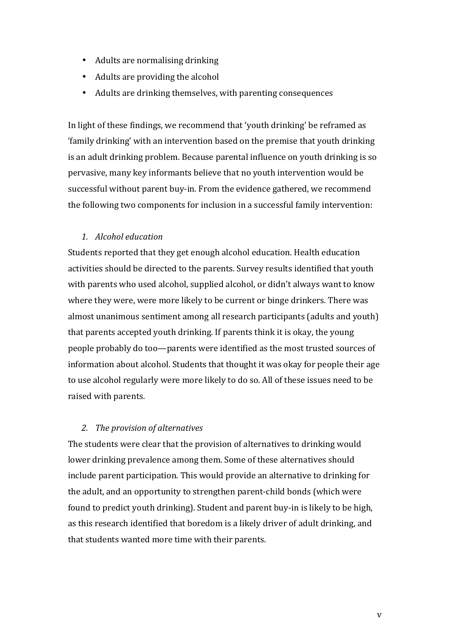- Adults are normalising drinking
- $\bullet$  Adults are providing the alcohol
- Adults are drinking themselves, with parenting consequences

In light of these findings, we recommend that 'youth drinking' be reframed as 'family drinking' with an intervention based on the premise that youth drinking is an adult drinking problem. Because parental influence on youth drinking is so pervasive, many key informants believe that no youth intervention would be successful without parent buy-in. From the evidence gathered, we recommend the following two components for inclusion in a successful family intervention:

#### *1. Alcohol education*

Students reported that they get enough alcohol education. Health education activities should be directed to the parents. Survey results identified that youth with parents who used alcohol, supplied alcohol, or didn't always want to know where they were, were more likely to be current or binge drinkers. There was almost unanimous sentiment among all research participants (adults and youth) that parents accepted youth drinking. If parents think it is okay, the young people probably do too—parents were identified as the most trusted sources of information about alcohol. Students that thought it was okay for people their age to use alcohol regularly were more likely to do so. All of these issues need to be raised with parents.

#### 2. *The provision of alternatives*

The students were clear that the provision of alternatives to drinking would lower drinking prevalence among them. Some of these alternatives should include parent participation. This would provide an alternative to drinking for the adult, and an opportunity to strengthen parent-child bonds (which were found to predict youth drinking). Student and parent buy-in is likely to be high, as this research identified that boredom is a likely driver of adult drinking, and that students wanted more time with their parents.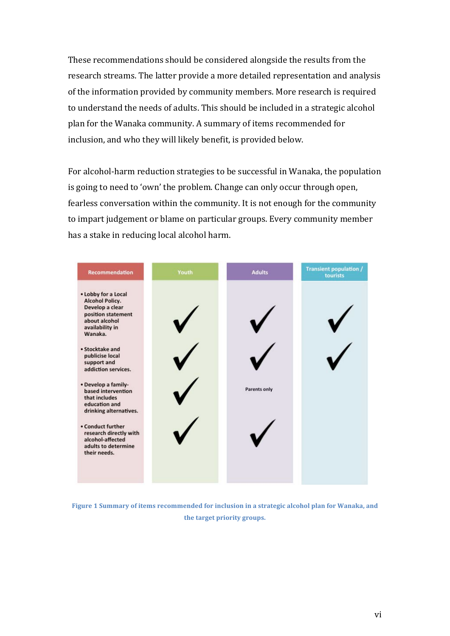These recommendations should be considered alongside the results from the research streams. The latter provide a more detailed representation and analysis of the information provided by community members. More research is required to understand the needs of adults. This should be included in a strategic alcohol plan for the Wanaka community. A summary of items recommended for inclusion, and who they will likely benefit, is provided below.

For alcohol-harm reduction strategies to be successful in Wanaka, the population is going to need to 'own' the problem. Change can only occur through open, fearless conversation within the community. It is not enough for the community to impart judgement or blame on particular groups. Every community member has a stake in reducing local alcohol harm.



**Figure 1 Summary of items recommended for inclusion in a strategic alcohol plan for Wanaka, and** the target priority groups.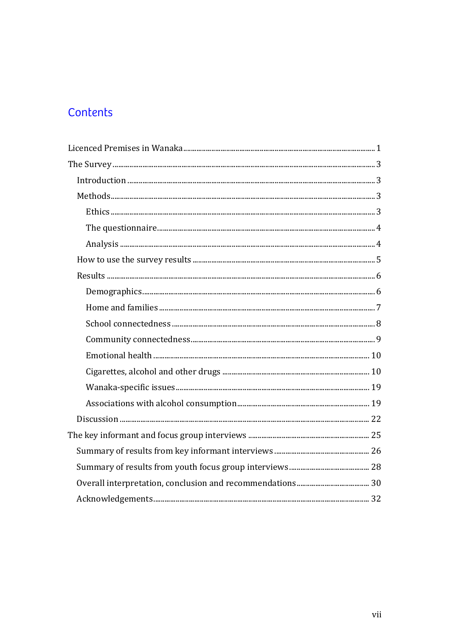### Contents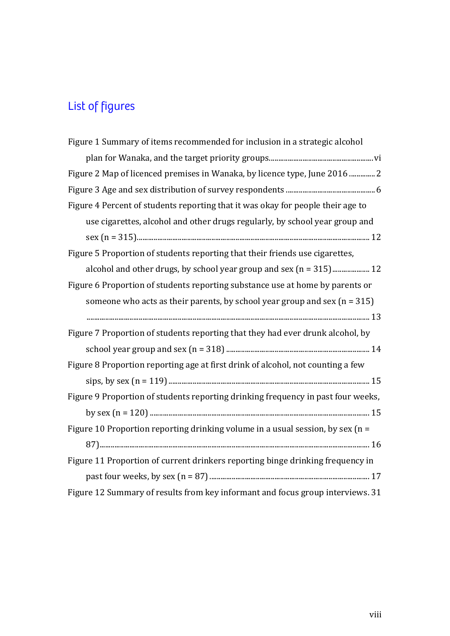### List of figures

| Figure 1 Summary of items recommended for inclusion in a strategic alcohol        |
|-----------------------------------------------------------------------------------|
|                                                                                   |
| Figure 2 Map of licenced premises in Wanaka, by licence type, June 2016  2        |
|                                                                                   |
| Figure 4 Percent of students reporting that it was okay for people their age to   |
| use cigarettes, alcohol and other drugs regularly, by school year group and       |
|                                                                                   |
| Figure 5 Proportion of students reporting that their friends use cigarettes,      |
|                                                                                   |
| Figure 6 Proportion of students reporting substance use at home by parents or     |
| someone who acts as their parents, by school year group and sex $(n = 315)$       |
|                                                                                   |
| Figure 7 Proportion of students reporting that they had ever drunk alcohol, by    |
|                                                                                   |
| Figure 8 Proportion reporting age at first drink of alcohol, not counting a few   |
|                                                                                   |
| Figure 9 Proportion of students reporting drinking frequency in past four weeks,  |
|                                                                                   |
| Figure 10 Proportion reporting drinking volume in a usual session, by sex ( $n =$ |
|                                                                                   |
| Figure 11 Proportion of current drinkers reporting binge drinking frequency in    |
|                                                                                   |
| Figure 12 Summary of results from key informant and focus group interviews. 31    |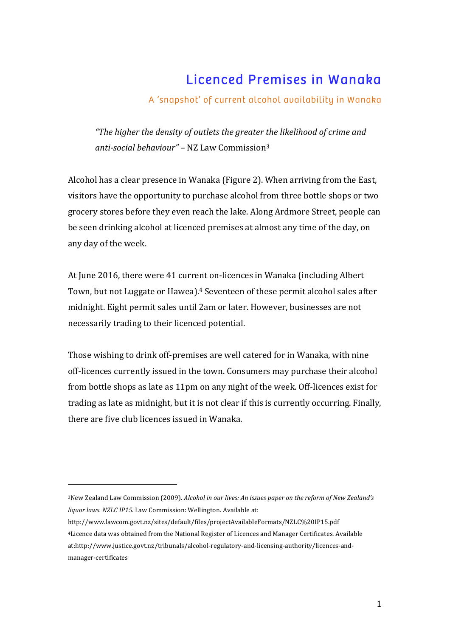### Licenced Premises in Wanaka

#### A 'snapshot' of current alcohol availability in Wanaka

"The higher the density of outlets the greater the likelihood of crime and *anti-social behaviour"* – NZ Law Commission<sup>3</sup>

Alcohol has a clear presence in Wanaka (Figure 2). When arriving from the East, visitors have the opportunity to purchase alcohol from three bottle shops or two grocery stores before they even reach the lake. Along Ardmore Street, people can be seen drinking alcohol at licenced premises at almost any time of the day, on any day of the week.

At June 2016, there were 41 current on-licences in Wanaka (including Albert) Town, but not Luggate or Hawea).<sup>4</sup> Seventeen of these permit alcohol sales after midnight. Eight permit sales until 2am or later. However, businesses are not necessarily trading to their licenced potential.

Those wishing to drink off-premises are well catered for in Wanaka, with nine off-licences currently issued in the town. Consumers may purchase their alcohol from bottle shops as late as 11pm on any night of the week. Off-licences exist for trading as late as midnight, but it is not clear if this is currently occurring. Finally, there are five club licences issued in Wanaka.

 

<sup>&</sup>lt;sup>3</sup>New Zealand Law Commission (2009). *Alcohol in our lives: An issues paper on the reform of New Zealand's liquor laws. NZLC IP15.* Law Commission: Wellington. Available at:

http://www.lawcom.govt.nz/sites/default/files/projectAvailableFormats/NZLC%20IP15.pdf 4Licence data was obtained from the National Register of Licences and Manager Certificates. Available at:http://www.justice.govt.nz/tribunals/alcohol-regulatory-and-licensing-authority/licences-andmanager-certificates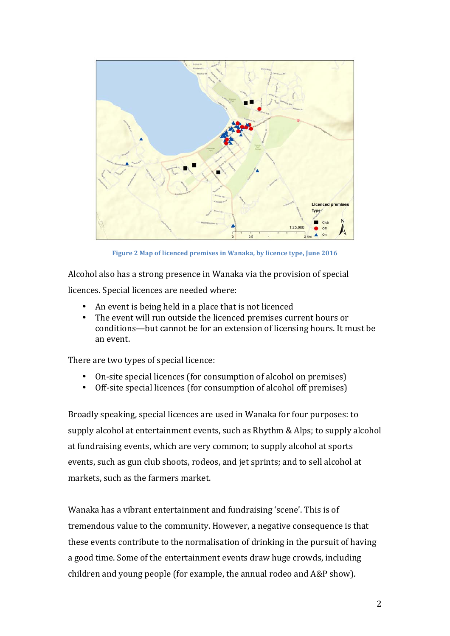

**Figure 2 Map of licenced premises in Wanaka, by licence type, June 2016** 

Alcohol also has a strong presence in Wanaka via the provision of special licences. Special licences are needed where:

- An event is being held in a place that is not licenced
- The event will run outside the licenced premises current hours or conditions—but cannot be for an extension of licensing hours. It must be an event.

There are two types of special licence:

- On-site special licences (for consumption of alcohol on premises)
- Off-site special licences (for consumption of alcohol off premises)

Broadly speaking, special licences are used in Wanaka for four purposes: to supply alcohol at entertainment events, such as Rhythm & Alps; to supply alcohol at fundraising events, which are very common; to supply alcohol at sports events, such as gun club shoots, rodeos, and jet sprints; and to sell alcohol at markets, such as the farmers market.

Wanaka has a vibrant entertainment and fundraising 'scene'. This is of tremendous value to the community. However, a negative consequence is that these events contribute to the normalisation of drinking in the pursuit of having a good time. Some of the entertainment events draw huge crowds, including children and young people (for example, the annual rodeo and  $A\&P$  show).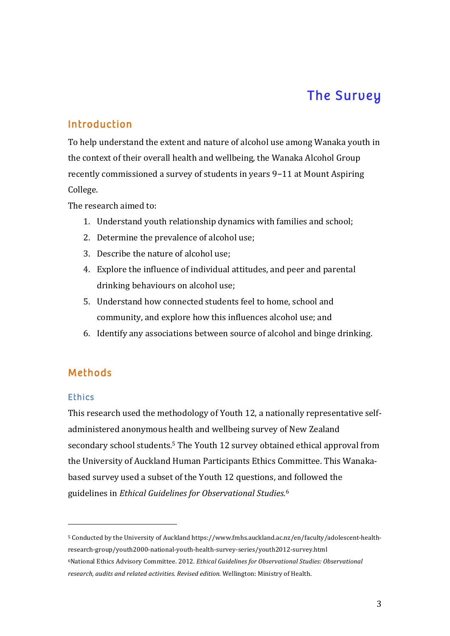### The Survey

#### Introduction

To help understand the extent and nature of alcohol use among Wanaka youth in the context of their overall health and wellbeing, the Wanaka Alcohol Group recently commissioned a survey of students in years 9-11 at Mount Aspiring College.

The research aimed to:

- 1. Understand youth relationship dynamics with families and school;
- 2. Determine the prevalence of alcohol use;
- 3. Describe the nature of alcohol use:
- 4. Explore the influence of individual attitudes, and peer and parental drinking behaviours on alcohol use:
- 5. Understand how connected students feel to home, school and community, and explore how this influences alcohol use; and
- 6. Identify any associations between source of alcohol and binge drinking.

#### Methods

 

#### **Ethics**

This research used the methodology of Youth 12, a nationally representative selfadministered anonymous health and wellbeing survey of New Zealand secondary school students.<sup>5</sup> The Youth 12 survey obtained ethical approval from the University of Auckland Human Participants Ethics Committee. This Wanakabased survey used a subset of the Youth 12 questions, and followed the guidelines in *Ethical Guidelines for Observational Studies.*<sup>6</sup>

<sup>5</sup> Conducted by the University of Auckland https://www.fmhs.auckland.ac.nz/en/faculty/adolescent-healthresearch-group/youth2000-national-youth-health-survey-series/youth2012-survey.html <sup>6</sup>National Ethics Advisory Committee. 2012. *Ethical Guidelines for Observational Studies: Observational* research, audits and related activities. Revised edition. Wellington: Ministry of Health.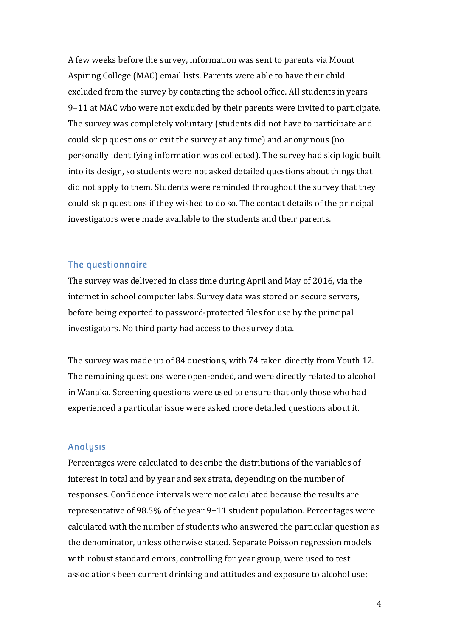A few weeks before the survey, information was sent to parents via Mount Aspiring College (MAC) email lists. Parents were able to have their child excluded from the survey by contacting the school office. All students in years 9−11 at MAC who were not excluded by their parents were invited to participate. The survey was completely voluntary (students did not have to participate and could skip questions or exit the survey at any time) and anonymous (no personally identifying information was collected). The survey had skip logic built into its design, so students were not asked detailed questions about things that did not apply to them. Students were reminded throughout the survey that they could skip questions if they wished to do so. The contact details of the principal investigators were made available to the students and their parents.

#### The questionnaire

The survey was delivered in class time during April and May of 2016, via the internet in school computer labs. Survey data was stored on secure servers, before being exported to password-protected files for use by the principal investigators. No third party had access to the survey data.

The survey was made up of 84 questions, with 74 taken directly from Youth 12. The remaining questions were open-ended, and were directly related to alcohol in Wanaka. Screening questions were used to ensure that only those who had experienced a particular issue were asked more detailed questions about it.

#### Analysis

Percentages were calculated to describe the distributions of the variables of interest in total and by year and sex strata, depending on the number of responses. Confidence intervals were not calculated because the results are representative of 98.5% of the year 9–11 student population. Percentages were calculated with the number of students who answered the particular question as the denominator, unless otherwise stated. Separate Poisson regression models with robust standard errors, controlling for year group, were used to test associations been current drinking and attitudes and exposure to alcohol use;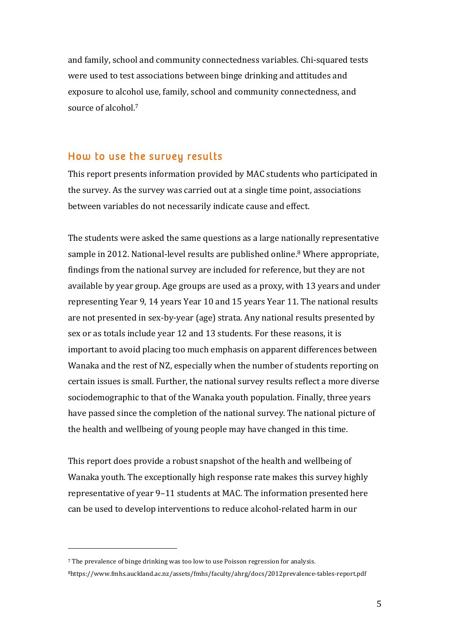and family, school and community connectedness variables. Chi-squared tests were used to test associations between binge drinking and attitudes and exposure to alcohol use, family, school and community connectedness, and source of alcohol.<sup>7</sup>

#### How to use the survey results

This report presents information provided by MAC students who participated in the survey. As the survey was carried out at a single time point, associations between variables do not necessarily indicate cause and effect.

The students were asked the same questions as a large nationally representative sample in 2012. National-level results are published online.<sup>8</sup> Where appropriate, findings from the national survey are included for reference, but they are not available by year group. Age groups are used as a proxy, with 13 years and under representing Year 9, 14 years Year 10 and 15 years Year 11. The national results are not presented in sex-by-year (age) strata. Any national results presented by sex or as totals include year 12 and 13 students. For these reasons, it is important to avoid placing too much emphasis on apparent differences between Wanaka and the rest of NZ, especially when the number of students reporting on certain issues is small. Further, the national survey results reflect a more diverse sociodemographic to that of the Wanaka youth population. Finally, three years have passed since the completion of the national survey. The national picture of the health and wellbeing of young people may have changed in this time.

This report does provide a robust snapshot of the health and wellbeing of Wanaka youth. The exceptionally high response rate makes this survey highly representative of year 9-11 students at MAC. The information presented here can be used to develop interventions to reduce alcohol-related harm in our

 

<sup>7</sup> The prevalence of binge drinking was too low to use Poisson regression for analysis. 8https://www.fmhs.auckland.ac.nz/assets/fmhs/faculty/ahrg/docs/2012prevalence-tables-report.pdf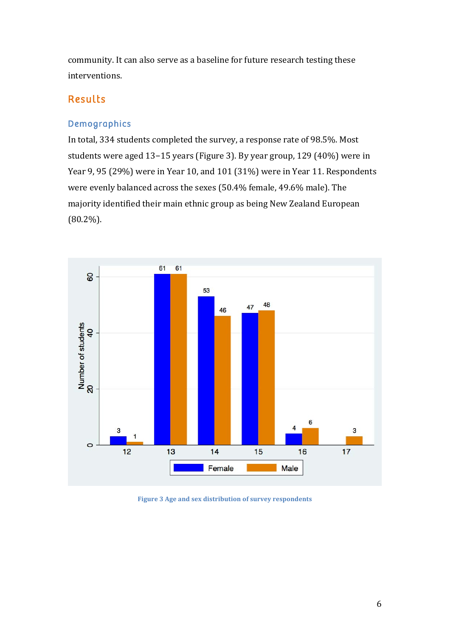community. It can also serve as a baseline for future research testing these interventions.

#### Results

#### Demographics

In total, 334 students completed the survey, a response rate of 98.5%. Most students were aged 13-15 years (Figure 3). By year group, 129 (40%) were in Year 9, 95 (29%) were in Year 10, and 101 (31%) were in Year 11. Respondents were evenly balanced across the sexes (50.4% female, 49.6% male). The majority identified their main ethnic group as being New Zealand European (80.2%).



Figure 3 Age and sex distribution of survey respondents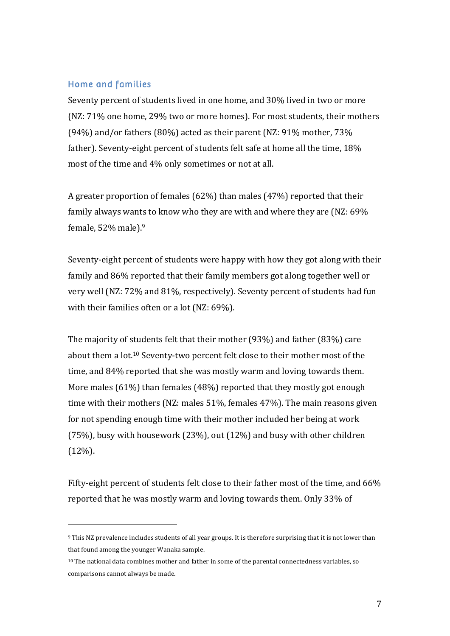#### Home and families

Seventy percent of students lived in one home, and 30% lived in two or more (NZ: 71% one home, 29% two or more homes). For most students, their mothers (94%) and/or fathers  $(80\%)$  acted as their parent  $(NZ: 91\%$  mother,  $73\%$ father). Seventy-eight percent of students felt safe at home all the time, 18% most of the time and 4% only sometimes or not at all.

A greater proportion of females  $(62%)$  than males  $(47%)$  reported that their family always wants to know who they are with and where they are  $(NZ: 69\%$ female,  $52\%$  male).<sup>9</sup>

Seventy-eight percent of students were happy with how they got along with their family and 86% reported that their family members got along together well or very well (NZ: 72% and 81%, respectively). Seventy percent of students had fun with their families often or a lot (NZ:  $69\%$ ).

The majority of students felt that their mother  $(93%)$  and father  $(83%)$  care about them a lot.<sup>10</sup> Seventy-two percent felt close to their mother most of the time, and 84% reported that she was mostly warm and loving towards them. More males  $(61%)$  than females  $(48%)$  reported that they mostly got enough time with their mothers (NZ: males  $51\%$ , females  $47\%$ ). The main reasons given for not spending enough time with their mother included her being at work (75%), busy with housework (23%), out (12%) and busy with other children (12%). 

Fifty-eight percent of students felt close to their father most of the time, and 66% reported that he was mostly warm and loving towards them. Only 33% of

 

<sup>9</sup> This NZ prevalence includes students of all year groups. It is therefore surprising that it is not lower than that found among the younger Wanaka sample.

<sup>&</sup>lt;sup>10</sup> The national data combines mother and father in some of the parental connectedness variables, so comparisons cannot always be made.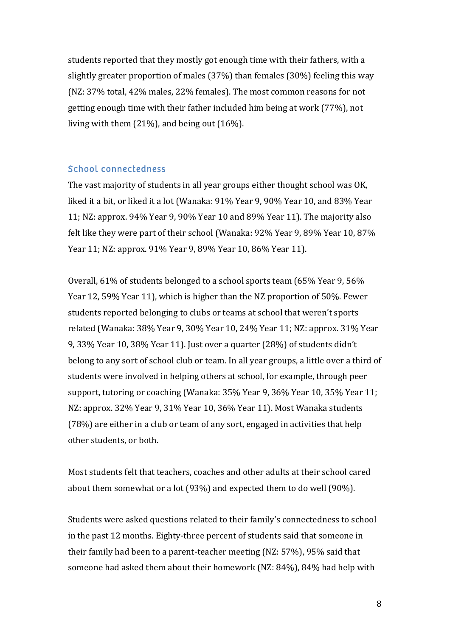students reported that they mostly got enough time with their fathers, with a slightly greater proportion of males  $(37%)$  than females  $(30%)$  feeling this way (NZ: 37% total, 42% males, 22% females). The most common reasons for not getting enough time with their father included him being at work (77%), not living with them  $(21\%)$ , and being out  $(16\%)$ .

#### School connectedness

The vast majority of students in all year groups either thought school was OK, liked it a bit, or liked it a lot (Wanaka: 91% Year 9, 90% Year 10, and 83% Year 11; NZ: approx.  $94\%$  Year 9,  $90\%$  Year 10 and  $89\%$  Year 11). The majority also felt like they were part of their school (Wanaka:  $92\%$  Year  $9,89\%$  Year  $10,87\%$ Year 11; NZ: approx. 91% Year 9, 89% Year 10, 86% Year 11).

Overall,  $61\%$  of students belonged to a school sports team  $(65\%$  Year 9,  $56\%$ Year 12, 59% Year 11), which is higher than the NZ proportion of 50%. Fewer students reported belonging to clubs or teams at school that weren't sports related (Wanaka: 38% Year 9, 30% Year 10, 24% Year 11; NZ: approx. 31% Year 9,  $33\%$  Year 10,  $38\%$  Year 11). Just over a quarter  $(28\%)$  of students didn't belong to any sort of school club or team. In all year groups, a little over a third of students were involved in helping others at school, for example, through peer support, tutoring or coaching (Wanaka: 35% Year 9, 36% Year 10, 35% Year 11; NZ: approx. 32% Year 9, 31% Year 10, 36% Year 11). Most Wanaka students  $(78%)$  are either in a club or team of any sort, engaged in activities that help other students, or both.

Most students felt that teachers, coaches and other adults at their school cared about them somewhat or a lot  $(93%)$  and expected them to do well  $(90%)$ .

Students were asked questions related to their family's connectedness to school in the past 12 months. Eighty-three percent of students said that someone in their family had been to a parent-teacher meeting  $(NZ: 57%)$ , 95% said that someone had asked them about their homework (NZ: 84%), 84% had help with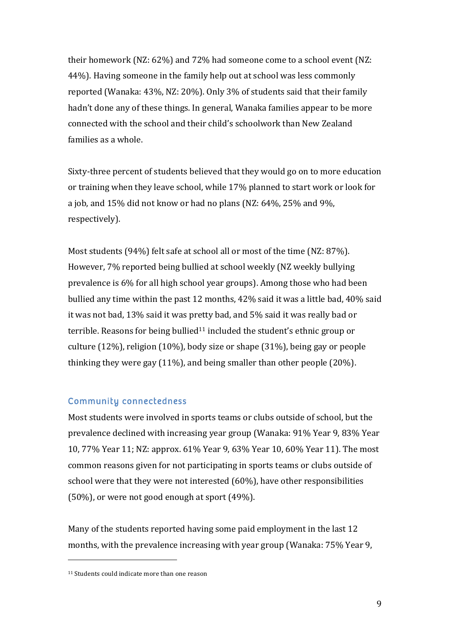their homework (NZ:  $62\%$ ) and  $72\%$  had someone come to a school event (NZ: 44%). Having someone in the family help out at school was less commonly reported (Wanaka: 43%, NZ: 20%). Only 3% of students said that their family hadn't done any of these things. In general, Wanaka families appear to be more connected with the school and their child's schoolwork than New Zealand families as a whole.

Sixty-three percent of students believed that they would go on to more education or training when they leave school, while 17% planned to start work or look for a job, and  $15\%$  did not know or had no plans (NZ:  $64\%$ ,  $25\%$  and  $9\%$ , respectively). 

Most students  $(94%)$  felt safe at school all or most of the time (NZ: 87%). However, 7% reported being bullied at school weekly (NZ weekly bullying prevalence is 6% for all high school year groups). Among those who had been bullied any time within the past 12 months, 42% said it was a little bad, 40% said it was not bad, 13% said it was pretty bad, and 5% said it was really bad or terrible. Reasons for being bullied<sup>11</sup> included the student's ethnic group or culture  $(12\%)$ , religion  $(10\%)$ , body size or shape  $(31\%)$ , being gay or people thinking they were gay  $(11\%)$ , and being smaller than other people  $(20\%)$ .

#### Community connectedness

Most students were involved in sports teams or clubs outside of school, but the prevalence declined with increasing year group (Wanaka: 91% Year 9, 83% Year 10, 77% Year 11; NZ: approx. 61% Year 9, 63% Year 10, 60% Year 11). The most common reasons given for not participating in sports teams or clubs outside of school were that they were not interested  $(60\%)$ , have other responsibilities  $(50\%)$ , or were not good enough at sport  $(49\%)$ .

Many of the students reported having some paid employment in the last 12 months, with the prevalence increasing with year group (Wanaka:  $75\%$  Year 9,

 

<sup>&</sup>lt;sup>11</sup> Students could indicate more than one reason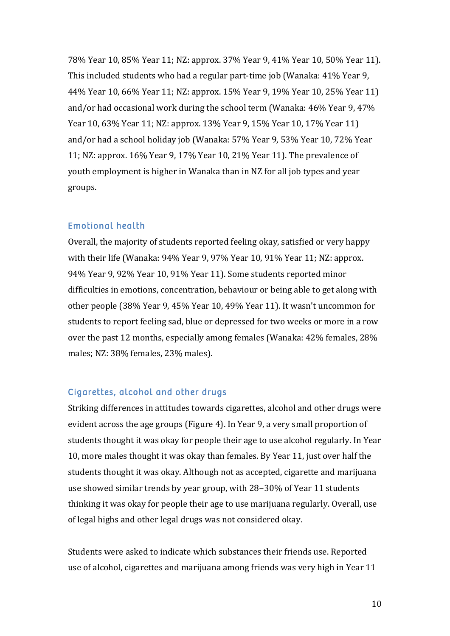78% Year 10, 85% Year 11; NZ: approx. 37% Year 9, 41% Year 10, 50% Year 11). This included students who had a regular part-time job (Wanaka: 41% Year 9, 44% Year 10, 66% Year 11; NZ: approx. 15% Year 9, 19% Year 10, 25% Year 11) and/or had occasional work during the school term (Wanaka:  $46\%$  Year 9,  $47\%$ ) Year 10, 63% Year 11; NZ: approx. 13% Year 9, 15% Year 10, 17% Year 11) and/or had a school holiday job (Wanaka: 57% Year 9, 53% Year 10, 72% Year 11; NZ: approx.  $16\%$  Year 9, 17% Year 10, 21% Year 11). The prevalence of youth employment is higher in Wanaka than in NZ for all job types and year groups. 

#### Emotional health

Overall, the majority of students reported feeling okay, satisfied or very happy with their life (Wanaka: 94% Year 9, 97% Year 10, 91% Year 11; NZ: approx. 94% Year 9, 92% Year 10, 91% Year 11). Some students reported minor difficulties in emotions, concentration, behaviour or being able to get along with other people (38% Year 9, 45% Year 10, 49% Year 11). It wasn't uncommon for students to report feeling sad, blue or depressed for two weeks or more in a row over the past 12 months, especially among females (Wanaka:  $42\%$  females,  $28\%$ males; NZ: 38% females, 23% males).

#### Cigarettes, alcohol and other drugs

Striking differences in attitudes towards cigarettes, alcohol and other drugs were evident across the age groups (Figure 4). In Year 9, a very small proportion of students thought it was okay for people their age to use alcohol regularly. In Year 10, more males thought it was okay than females. By Year 11, just over half the students thought it was okay. Although not as accepted, cigarette and marijuana use showed similar trends by year group, with 28–30% of Year 11 students thinking it was okay for people their age to use marijuana regularly. Overall, use of legal highs and other legal drugs was not considered okay.

Students were asked to indicate which substances their friends use. Reported use of alcohol, cigarettes and marijuana among friends was very high in Year 11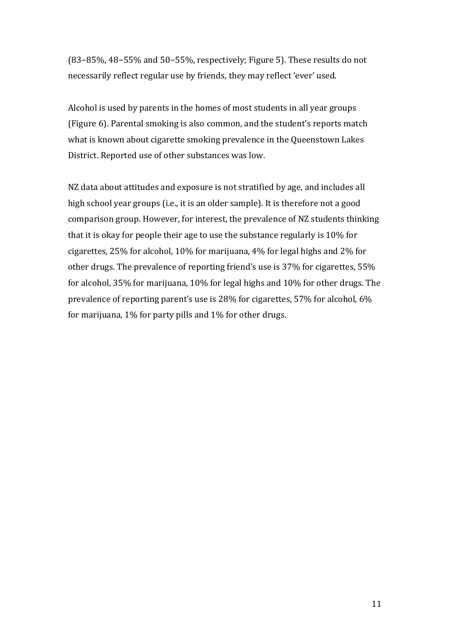(83–85%, 48–55% and 50–55%, respectively; Figure 5). These results do not necessarily reflect regular use by friends, they may reflect 'ever' used.

Alcohol is used by parents in the homes of most students in all year groups (Figure 6). Parental smoking is also common, and the student's reports match what is known about cigarette smoking prevalence in the Queenstown Lakes District. Reported use of other substances was low.

NZ data about attitudes and exposure is not stratified by age, and includes all high school year groups (i.e., it is an older sample). It is therefore not a good comparison group. However, for interest, the prevalence of NZ students thinking that it is okay for people their age to use the substance regularly is  $10\%$  for cigarettes, 25% for alcohol, 10% for marijuana, 4% for legal highs and 2% for other drugs. The prevalence of reporting friend's use is 37% for cigarettes, 55% for alcohol,  $35\%$  for marijuana,  $10\%$  for legal highs and  $10\%$  for other drugs. The prevalence of reporting parent's use is  $28\%$  for cigarettes, 57% for alcohol, 6% for marijuana,  $1\%$  for party pills and  $1\%$  for other drugs.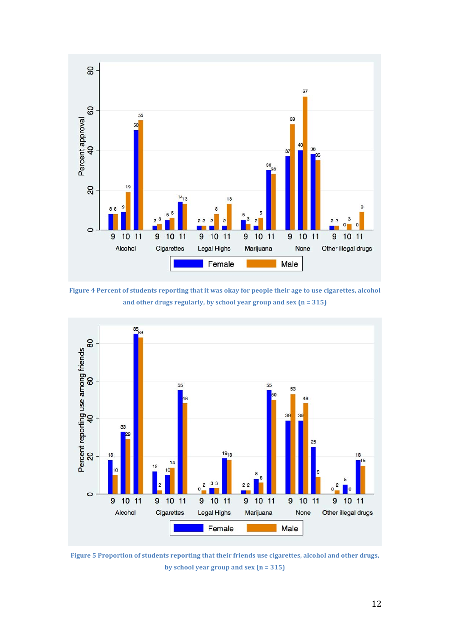

Figure 4 Percent of students reporting that it was okay for people their age to use cigarettes, alcohol and other drugs regularly, by school year group and sex  $(n = 315)$ 



Figure 5 Proportion of students reporting that their friends use cigarettes, alcohol and other drugs, by school year group and sex  $(n = 315)$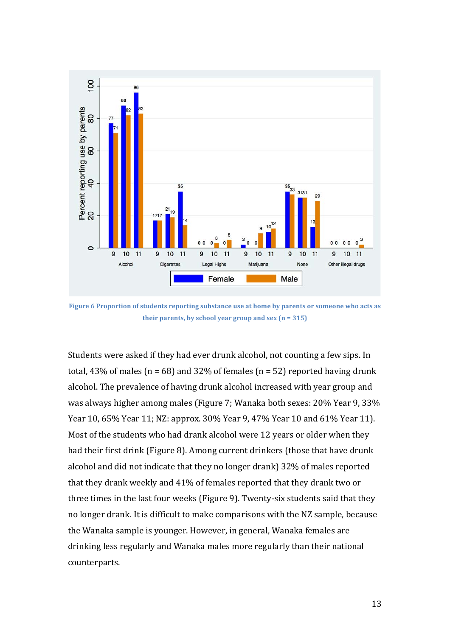

Figure 6 Proportion of students reporting substance use at home by parents or someone who acts as their parents, by school year group and  $sex$  ( $n = 315$ )

Students were asked if they had ever drunk alcohol, not counting a few sips. In total, 43% of males ( $n = 68$ ) and 32% of females ( $n = 52$ ) reported having drunk alcohol. The prevalence of having drunk alcohol increased with year group and was always higher among males (Figure 7; Wanaka both sexes: 20% Year 9, 33% Year 10, 65% Year 11; NZ: approx. 30% Year 9, 47% Year 10 and 61% Year 11). Most of the students who had drank alcohol were 12 years or older when they had their first drink (Figure 8). Among current drinkers (those that have drunk alcohol and did not indicate that they no longer drank) 32% of males reported that they drank weekly and 41% of females reported that they drank two or three times in the last four weeks (Figure 9). Twenty-six students said that they no longer drank. It is difficult to make comparisons with the NZ sample, because the Wanaka sample is younger. However, in general, Wanaka females are drinking less regularly and Wanaka males more regularly than their national counterparts.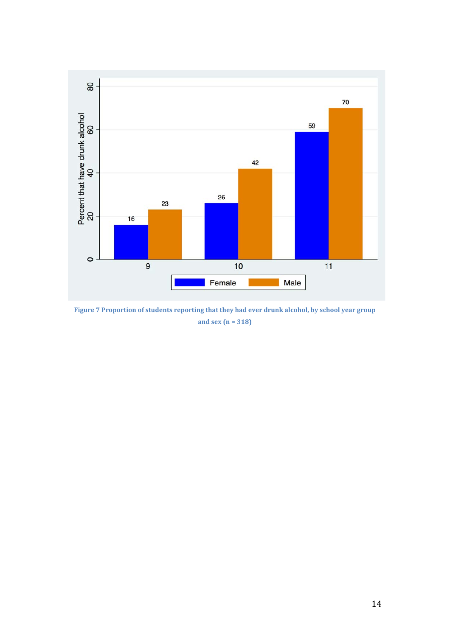

Figure 7 Proportion of students reporting that they had ever drunk alcohol, by school year group **and sex (n = 318)**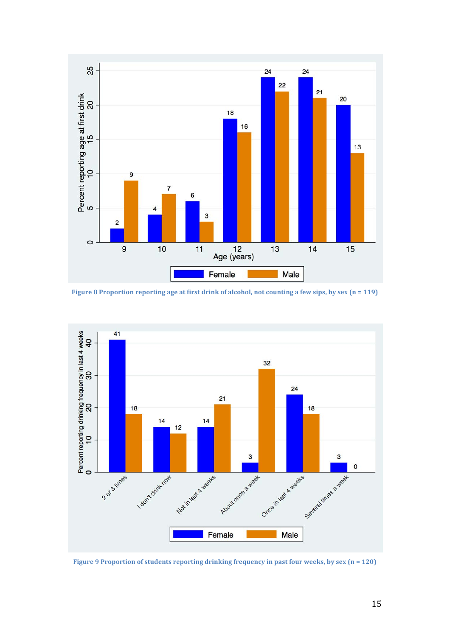

**Figure 8** Proportion reporting age at first drink of alcohol, not counting a few sips, by sex (n = 119)



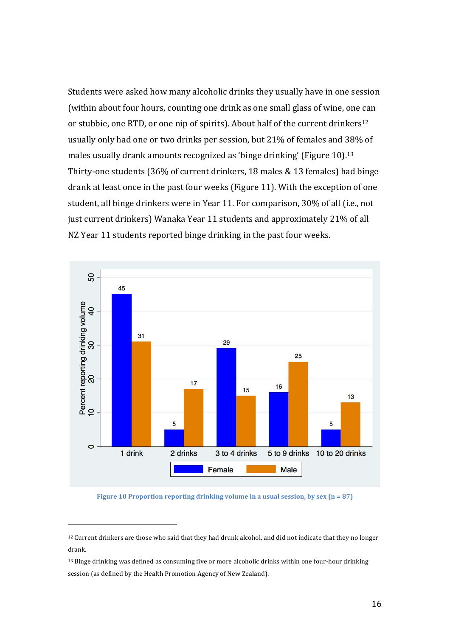Students were asked how many alcoholic drinks they usually have in one session (within about four hours, counting one drink as one small glass of wine, one can or stubbie, one RTD, or one nip of spirits). About half of the current drinkers<sup>12</sup> usually only had one or two drinks per session, but 21% of females and 38% of males usually drank amounts recognized as 'binge drinking' (Figure  $10$ ).<sup>13</sup> Thirty-one students (36% of current drinkers, 18 males & 13 females) had binge drank at least once in the past four weeks (Figure 11). With the exception of one student, all binge drinkers were in Year 11. For comparison, 30% of all (i.e., not just current drinkers) Wanaka Year 11 students and approximately 21% of all NZ Year 11 students reported binge drinking in the past four weeks.



**Figure 10** Proportion reporting drinking volume in a usual session, by sex  $(n = 87)$ 

 

<sup>&</sup>lt;sup>12</sup> Current drinkers are those who said that they had drunk alcohol, and did not indicate that they no longer drank.

<sup>13</sup> Binge drinking was defined as consuming five or more alcoholic drinks within one four-hour drinking session (as defined by the Health Promotion Agency of New Zealand).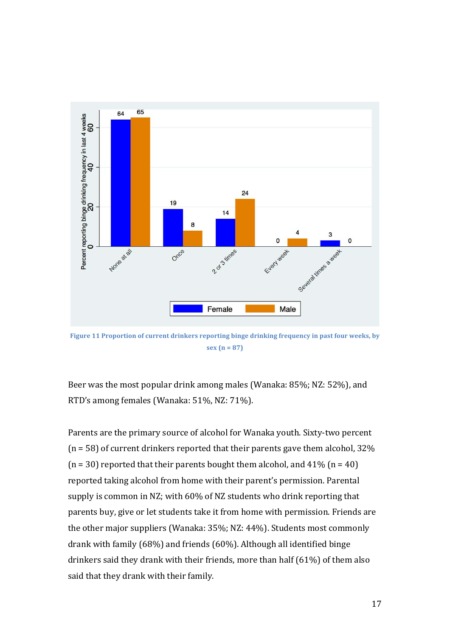

Figure 11 Proportion of current drinkers reporting binge drinking frequency in past four weeks, by  $sex (n = 87)$ 

Beer was the most popular drink among males (Wanaka: 85%; NZ: 52%), and RTD's among females (Wanaka: 51%, NZ: 71%).

Parents are the primary source of alcohol for Wanaka youth. Sixty-two percent ( $n = 58$ ) of current drinkers reported that their parents gave them alcohol, 32%  $(n = 30)$  reported that their parents bought them alcohol, and 41%  $(n = 40)$ reported taking alcohol from home with their parent's permission. Parental supply is common in NZ; with 60% of NZ students who drink reporting that parents buy, give or let students take it from home with permission. Friends are the other major suppliers (Wanaka: 35%; NZ: 44%). Students most commonly drank with family  $(68%)$  and friends  $(60%)$ . Although all identified binge drinkers said they drank with their friends, more than half  $(61%)$  of them also said that they drank with their family.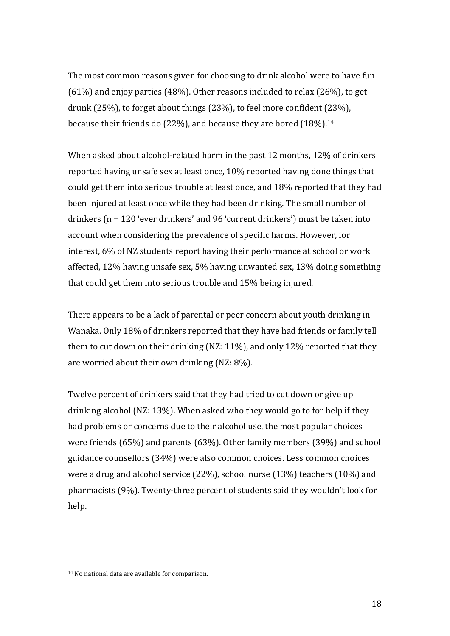The most common reasons given for choosing to drink alcohol were to have fun  $(61%)$  and enjoy parties  $(48%)$ . Other reasons included to relax  $(26%)$ , to get drunk  $(25%)$ , to forget about things  $(23%)$ , to feel more confident  $(23%)$ , because their friends do (22%), and because they are bored  $(18\%)$ .<sup>14</sup>

When asked about alcohol-related harm in the past 12 months, 12% of drinkers reported having unsafe sex at least once, 10% reported having done things that could get them into serious trouble at least once, and 18% reported that they had been injured at least once while they had been drinking. The small number of drinkers  $(n = 120$  'ever drinkers' and 96 'current drinkers') must be taken into account when considering the prevalence of specific harms. However, for interest, 6% of NZ students report having their performance at school or work affected, 12% having unsafe sex, 5% having unwanted sex, 13% doing something that could get them into serious trouble and 15% being injured.

There appears to be a lack of parental or peer concern about youth drinking in Wanaka. Only 18% of drinkers reported that they have had friends or family tell them to cut down on their drinking (NZ:  $11\%$ ), and only 12% reported that they are worried about their own drinking  $(NZ: 8\%)$ .

Twelve percent of drinkers said that they had tried to cut down or give up drinking alcohol (NZ:  $13\%$ ). When asked who they would go to for help if they had problems or concerns due to their alcohol use, the most popular choices were friends  $(65%)$  and parents  $(63%)$ . Other family members  $(39%)$  and school guidance counsellors (34%) were also common choices. Less common choices were a drug and alcohol service  $(22\%)$ , school nurse  $(13\%)$  teachers  $(10\%)$  and pharmacists (9%). Twenty-three percent of students said they wouldn't look for help. 

 

<sup>&</sup>lt;sup>14</sup> No national data are available for comparison.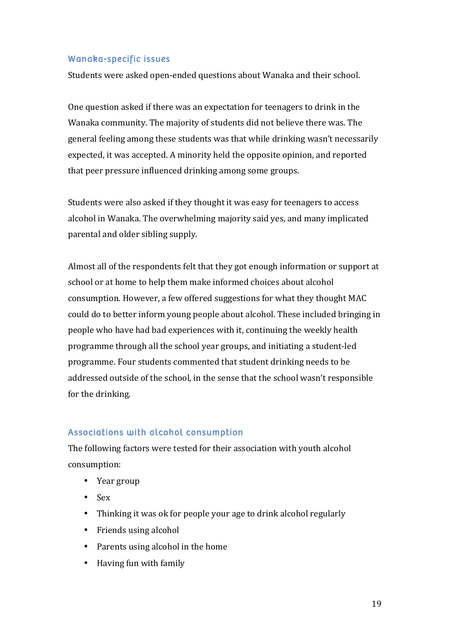#### Wanaka-specific issues

Students were asked open-ended questions about Wanaka and their school.

One question asked if there was an expectation for teenagers to drink in the Wanaka community. The majority of students did not believe there was. The general feeling among these students was that while drinking wasn't necessarily expected, it was accepted. A minority held the opposite opinion, and reported that peer pressure influenced drinking among some groups.

Students were also asked if they thought it was easy for teenagers to access alcohol in Wanaka. The overwhelming majority said yes, and many implicated parental and older sibling supply.

Almost all of the respondents felt that they got enough information or support at school or at home to help them make informed choices about alcohol consumption. However, a few offered suggestions for what they thought MAC could do to better inform young people about alcohol. These included bringing in people who have had bad experiences with it, continuing the weekly health programme through all the school year groups, and initiating a student-led programme. Four students commented that student drinking needs to be addressed outside of the school, in the sense that the school wasn't responsible for the drinking.

#### Associations with alcohol consumption

The following factors were tested for their association with youth alcohol consumption:

- Year group
- Sex
- Thinking it was ok for people your age to drink alcohol regularly
- Friends using alcohol
- Parents using alcohol in the home
- Having fun with family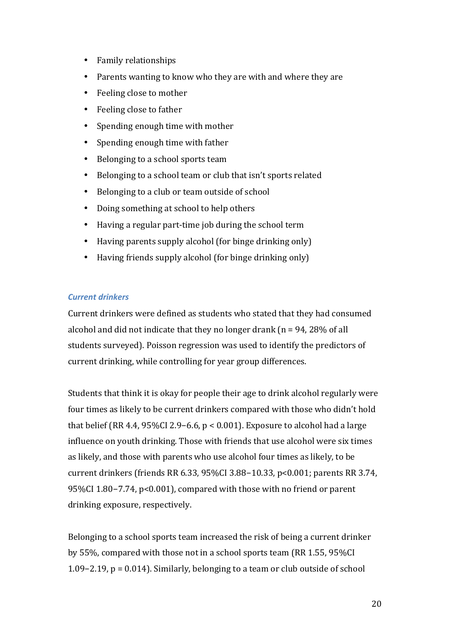- Family relationships
- Parents wanting to know who they are with and where they are
- Feeling close to mother
- Feeling close to father
- Spending enough time with mother
- Spending enough time with father
- Belonging to a school sports team
- Belonging to a school team or club that isn't sports related
- Belonging to a club or team outside of school
- Doing something at school to help others
- Having a regular part-time job during the school term
- Having parents supply alcohol (for binge drinking only)
- Having friends supply alcohol (for binge drinking only)

#### *Current drinkers*

Current drinkers were defined as students who stated that they had consumed alcohol and did not indicate that they no longer drank  $(n = 94, 28\%$  of all students surveyed). Poisson regression was used to identify the predictors of current drinking, while controlling for year group differences.

Students that think it is okay for people their age to drink alcohol regularly were four times as likely to be current drinkers compared with those who didn't hold that belief (RR 4.4,  $95\%$ CI 2.9–6.6, p < 0.001). Exposure to alcohol had a large influence on youth drinking. Those with friends that use alcohol were six times as likely, and those with parents who use alcohol four times as likely, to be current drinkers (friends RR 6.33, 95%CI 3.88-10.33, p<0.001; parents RR 3.74, 95%CI 1.80−7.74, p<0.001), compared with those with no friend or parent drinking exposure, respectively.

Belonging to a school sports team increased the risk of being a current drinker by 55%, compared with those not in a school sports team (RR 1.55, 95%CI) 1.09−2.19,  $p = 0.014$ ). Similarly, belonging to a team or club outside of school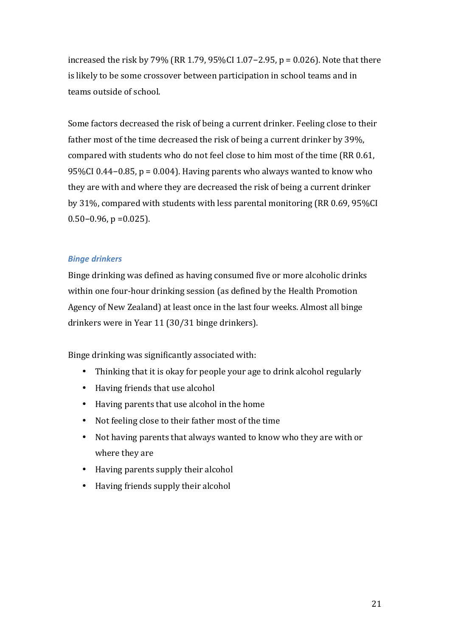increased the risk by  $79\%$  (RR 1.79, 95%CI 1.07–2.95, p = 0.026). Note that there is likely to be some crossover between participation in school teams and in teams outside of school.

Some factors decreased the risk of being a current drinker. Feeling close to their father most of the time decreased the risk of being a current drinker by 39%. compared with students who do not feel close to him most of the time (RR 0.61, 95%CI 0.44–0.85,  $p = 0.004$ ). Having parents who always wanted to know who they are with and where they are decreased the risk of being a current drinker by  $31\%$ , compared with students with less parental monitoring (RR 0.69, 95%CI)  $0.50-0.96$ , p = 0.025).

#### *Binge drinkers*

Binge drinking was defined as having consumed five or more alcoholic drinks within one four-hour drinking session (as defined by the Health Promotion Agency of New Zealand) at least once in the last four weeks. Almost all binge drinkers were in Year 11 (30/31 binge drinkers).

Binge drinking was significantly associated with:

- Thinking that it is okay for people your age to drink alcohol regularly
- Having friends that use alcohol
- Having parents that use alcohol in the home
- Not feeling close to their father most of the time
- Not having parents that always wanted to know who they are with or where they are
- Having parents supply their alcohol
- Having friends supply their alcohol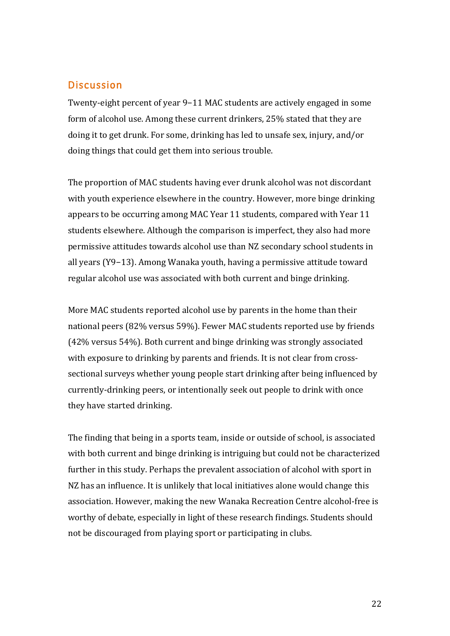#### **Discussion**

Twenty-eight percent of year 9–11 MAC students are actively engaged in some form of alcohol use. Among these current drinkers, 25% stated that they are doing it to get drunk. For some, drinking has led to unsafe sex, injury, and/or doing things that could get them into serious trouble.

The proportion of MAC students having ever drunk alcohol was not discordant with youth experience elsewhere in the country. However, more binge drinking appears to be occurring among MAC Year 11 students, compared with Year 11 students elsewhere. Although the comparison is imperfect, they also had more permissive attitudes towards alcohol use than NZ secondary school students in all years (Y9−13). Among Wanaka youth, having a permissive attitude toward regular alcohol use was associated with both current and binge drinking.

More MAC students reported alcohol use by parents in the home than their national peers (82% versus 59%). Fewer MAC students reported use by friends  $(42\%$  versus 54%). Both current and binge drinking was strongly associated with exposure to drinking by parents and friends. It is not clear from crosssectional surveys whether young people start drinking after being influenced by currently-drinking peers, or intentionally seek out people to drink with once they have started drinking.

The finding that being in a sports team, inside or outside of school, is associated with both current and binge drinking is intriguing but could not be characterized further in this study. Perhaps the prevalent association of alcohol with sport in NZ has an influence. It is unlikely that local initiatives alone would change this association. However, making the new Wanaka Recreation Centre alcohol-free is worthy of debate, especially in light of these research findings. Students should not be discouraged from playing sport or participating in clubs.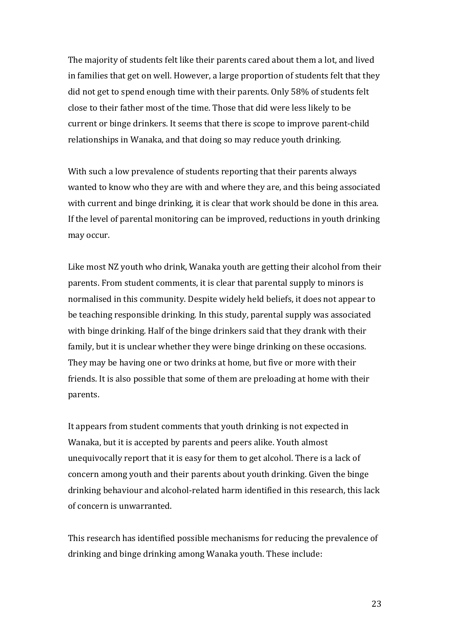The majority of students felt like their parents cared about them a lot, and lived in families that get on well. However, a large proportion of students felt that they did not get to spend enough time with their parents. Only 58% of students felt close to their father most of the time. Those that did were less likely to be current or binge drinkers. It seems that there is scope to improve parent-child relationships in Wanaka, and that doing so may reduce youth drinking.

With such a low prevalence of students reporting that their parents always wanted to know who they are with and where they are, and this being associated with current and binge drinking, it is clear that work should be done in this area. If the level of parental monitoring can be improved, reductions in youth drinking may occur.

Like most NZ youth who drink, Wanaka youth are getting their alcohol from their parents. From student comments, it is clear that parental supply to minors is normalised in this community. Despite widely held beliefs, it does not appear to be teaching responsible drinking. In this study, parental supply was associated with binge drinking. Half of the binge drinkers said that they drank with their family, but it is unclear whether they were binge drinking on these occasions. They may be having one or two drinks at home, but five or more with their friends. It is also possible that some of them are preloading at home with their parents.

It appears from student comments that youth drinking is not expected in Wanaka, but it is accepted by parents and peers alike. Youth almost unequivocally report that it is easy for them to get alcohol. There is a lack of concern among youth and their parents about youth drinking. Given the binge drinking behaviour and alcohol-related harm identified in this research, this lack of concern is unwarranted.

This research has identified possible mechanisms for reducing the prevalence of drinking and binge drinking among Wanaka youth. These include: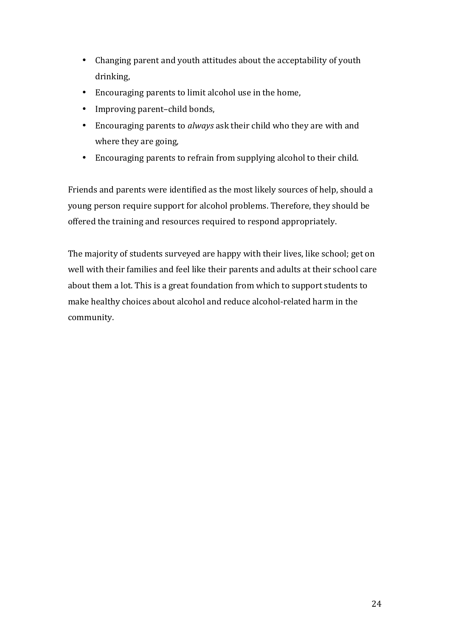- Changing parent and youth attitudes about the acceptability of youth drinking,
- Encouraging parents to limit alcohol use in the home,
- Improving parent–child bonds,
- Encouraging parents to *always* ask their child who they are with and where they are going,
- Encouraging parents to refrain from supplying alcohol to their child.

Friends and parents were identified as the most likely sources of help, should a young person require support for alcohol problems. Therefore, they should be offered the training and resources required to respond appropriately.

The majority of students surveyed are happy with their lives, like school; get on well with their families and feel like their parents and adults at their school care about them a lot. This is a great foundation from which to support students to make healthy choices about alcohol and reduce alcohol-related harm in the community.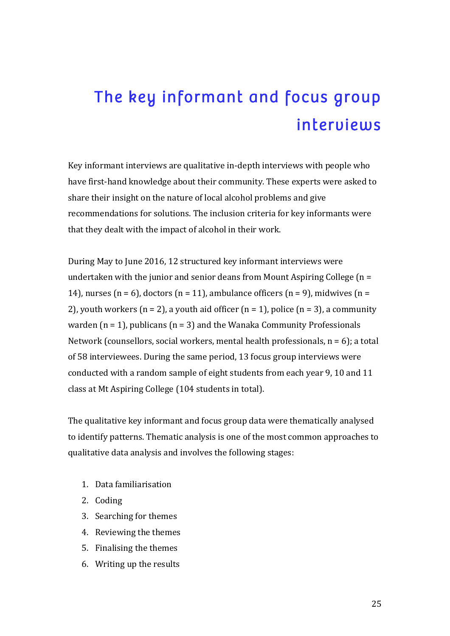## The key informant and focus group interviews

Key informant interviews are qualitative in-depth interviews with people who have first-hand knowledge about their community. These experts were asked to share their insight on the nature of local alcohol problems and give recommendations for solutions. The inclusion criteria for key informants were that they dealt with the impact of alcohol in their work.

During May to June 2016, 12 structured key informant interviews were undertaken with the junior and senior deans from Mount Aspiring College  $(n =$ 14), nurses  $(n = 6)$ , doctors  $(n = 11)$ , ambulance officers  $(n = 9)$ , midwives  $(n = 11)$ 2), youth workers  $(n = 2)$ , a youth aid officer  $(n = 1)$ , police  $(n = 3)$ , a community warden  $(n = 1)$ , publicans  $(n = 3)$  and the Wanaka Community Professionals Network (counsellors, social workers, mental health professionals,  $n = 6$ ); a total of 58 interviewees. During the same period, 13 focus group interviews were conducted with a random sample of eight students from each year 9, 10 and 11 class at Mt Aspiring College (104 students in total).

The qualitative key informant and focus group data were thematically analysed to identify patterns. Thematic analysis is one of the most common approaches to qualitative data analysis and involves the following stages:

- 1. Data familiarisation
- 2. Coding
- 3. Searching for themes
- 4. Reviewing the themes
- 5. Finalising the themes
- 6. Writing up the results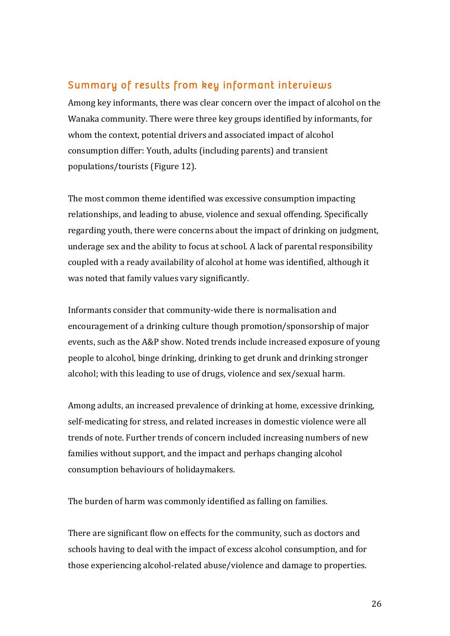#### Summary of results from key informant interviews

Among key informants, there was clear concern over the impact of alcohol on the Wanaka community. There were three key groups identified by informants, for whom the context, potential drivers and associated impact of alcohol consumption differ: Youth, adults (including parents) and transient populations/tourists (Figure 12).

The most common theme identified was excessive consumption impacting relationships, and leading to abuse, violence and sexual offending. Specifically regarding youth, there were concerns about the impact of drinking on judgment, underage sex and the ability to focus at school. A lack of parental responsibility coupled with a ready availability of alcohol at home was identified, although it was noted that family values vary significantly.

Informants consider that community-wide there is normalisation and encouragement of a drinking culture though promotion/sponsorship of major events, such as the A&P show. Noted trends include increased exposure of young people to alcohol, binge drinking, drinking to get drunk and drinking stronger alcohol; with this leading to use of drugs, violence and sex/sexual harm.

Among adults, an increased prevalence of drinking at home, excessive drinking, self-medicating for stress, and related increases in domestic violence were all trends of note. Further trends of concern included increasing numbers of new families without support, and the impact and perhaps changing alcohol consumption behaviours of holidaymakers.

The burden of harm was commonly identified as falling on families.

There are significant flow on effects for the community, such as doctors and schools having to deal with the impact of excess alcohol consumption, and for those experiencing alcohol-related abuse/violence and damage to properties.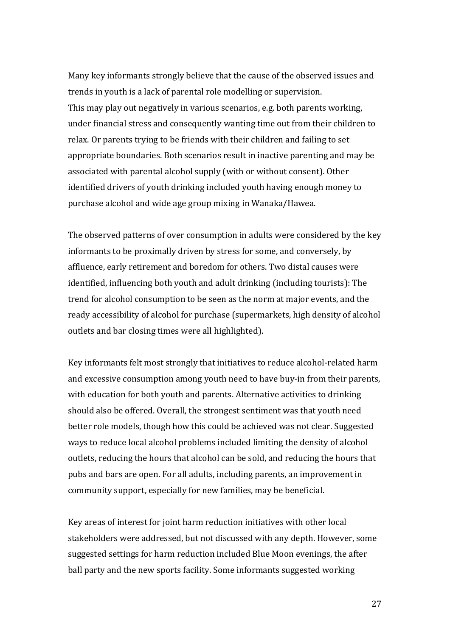Many key informants strongly believe that the cause of the observed issues and trends in youth is a lack of parental role modelling or supervision. This may play out negatively in various scenarios, e.g. both parents working, under financial stress and consequently wanting time out from their children to relax. Or parents trying to be friends with their children and failing to set appropriate boundaries. Both scenarios result in inactive parenting and may be associated with parental alcohol supply (with or without consent). Other identified drivers of youth drinking included youth having enough money to purchase alcohol and wide age group mixing in Wanaka/Hawea.

The observed patterns of over consumption in adults were considered by the key informants to be proximally driven by stress for some, and conversely, by affluence, early retirement and boredom for others. Two distal causes were identified, influencing both youth and adult drinking (including tourists): The trend for alcohol consumption to be seen as the norm at major events, and the ready accessibility of alcohol for purchase (supermarkets, high density of alcohol outlets and bar closing times were all highlighted).

Key informants felt most strongly that initiatives to reduce alcohol-related harm and excessive consumption among youth need to have buy-in from their parents, with education for both youth and parents. Alternative activities to drinking should also be offered. Overall, the strongest sentiment was that youth need better role models, though how this could be achieved was not clear. Suggested ways to reduce local alcohol problems included limiting the density of alcohol outlets, reducing the hours that alcohol can be sold, and reducing the hours that pubs and bars are open. For all adults, including parents, an improvement in community support, especially for new families, may be beneficial.

Key areas of interest for joint harm reduction initiatives with other local stakeholders were addressed, but not discussed with any depth. However, some suggested settings for harm reduction included Blue Moon evenings, the after ball party and the new sports facility. Some informants suggested working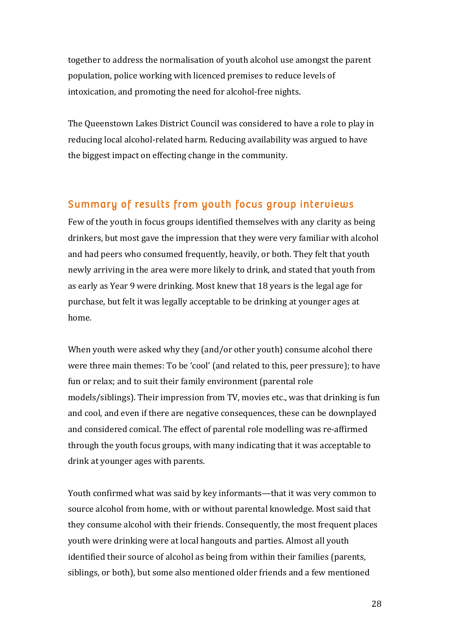together to address the normalisation of youth alcohol use amongst the parent population, police working with licenced premises to reduce levels of intoxication, and promoting the need for alcohol-free nights.

The Queenstown Lakes District Council was considered to have a role to play in reducing local alcohol-related harm. Reducing availability was argued to have the biggest impact on effecting change in the community.

#### Summary of results from youth focus group interviews

Few of the youth in focus groups identified themselves with any clarity as being drinkers, but most gave the impression that they were very familiar with alcohol and had peers who consumed frequently, heavily, or both. They felt that youth newly arriving in the area were more likely to drink, and stated that youth from as early as Year 9 were drinking. Most knew that 18 years is the legal age for purchase, but felt it was legally acceptable to be drinking at younger ages at home.

When youth were asked why they (and/or other youth) consume alcohol there were three main themes: To be 'cool' (and related to this, peer pressure); to have fun or relax; and to suit their family environment (parental role models/siblings). Their impression from TV, movies etc., was that drinking is fun and cool, and even if there are negative consequences, these can be downplayed and considered comical. The effect of parental role modelling was re-affirmed through the youth focus groups, with many indicating that it was acceptable to drink at younger ages with parents.

Youth confirmed what was said by key informants—that it was very common to source alcohol from home, with or without parental knowledge. Most said that they consume alcohol with their friends. Consequently, the most frequent places youth were drinking were at local hangouts and parties. Almost all youth identified their source of alcohol as being from within their families (parents, siblings, or both), but some also mentioned older friends and a few mentioned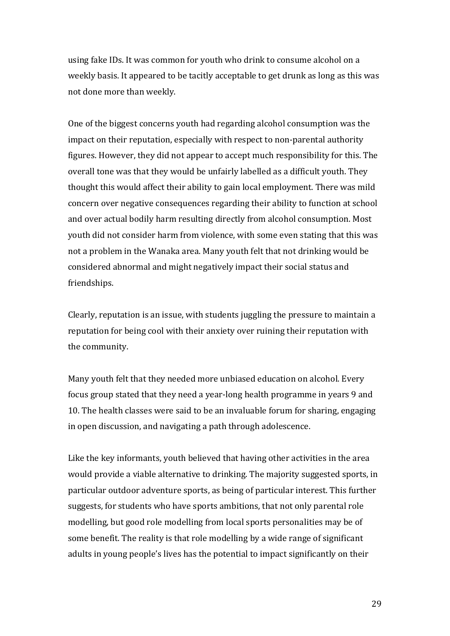using fake IDs. It was common for youth who drink to consume alcohol on a weekly basis. It appeared to be tacitly acceptable to get drunk as long as this was not done more than weekly.

One of the biggest concerns youth had regarding alcohol consumption was the impact on their reputation, especially with respect to non-parental authority figures. However, they did not appear to accept much responsibility for this. The overall tone was that they would be unfairly labelled as a difficult youth. They thought this would affect their ability to gain local employment. There was mild concern over negative consequences regarding their ability to function at school and over actual bodily harm resulting directly from alcohol consumption. Most youth did not consider harm from violence, with some even stating that this was not a problem in the Wanaka area. Many youth felt that not drinking would be considered abnormal and might negatively impact their social status and friendships.

Clearly, reputation is an issue, with students juggling the pressure to maintain a reputation for being cool with their anxiety over ruining their reputation with the community.

Many youth felt that they needed more unbiased education on alcohol. Every focus group stated that they need a year-long health programme in years 9 and 10. The health classes were said to be an invaluable forum for sharing, engaging in open discussion, and navigating a path through adolescence.

Like the key informants, youth believed that having other activities in the area would provide a viable alternative to drinking. The majority suggested sports, in particular outdoor adventure sports, as being of particular interest. This further suggests, for students who have sports ambitions, that not only parental role modelling, but good role modelling from local sports personalities may be of some benefit. The reality is that role modelling by a wide range of significant adults in young people's lives has the potential to impact significantly on their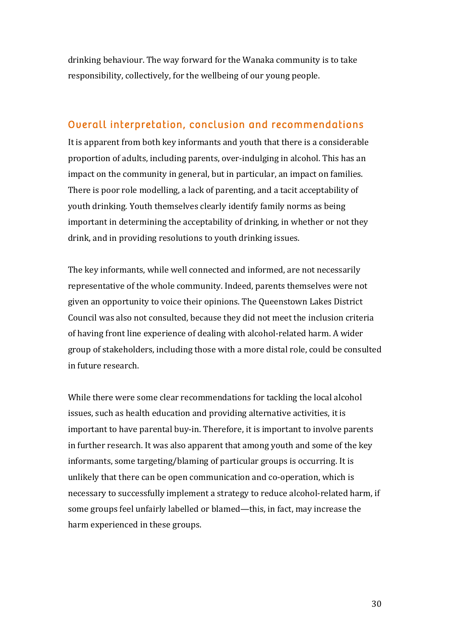drinking behaviour. The way forward for the Wanaka community is to take responsibility, collectively, for the wellbeing of our young people.

#### Overall interpretation, conclusion and recommendations

It is apparent from both key informants and youth that there is a considerable proportion of adults, including parents, over-indulging in alcohol. This has an impact on the community in general, but in particular, an impact on families. There is poor role modelling, a lack of parenting, and a tacit acceptability of youth drinking. Youth themselves clearly identify family norms as being important in determining the acceptability of drinking, in whether or not they drink, and in providing resolutions to youth drinking issues.

The key informants, while well connected and informed, are not necessarily representative of the whole community. Indeed, parents themselves were not given an opportunity to voice their opinions. The Queenstown Lakes District Council was also not consulted, because they did not meet the inclusion criteria of having front line experience of dealing with alcohol-related harm. A wider group of stakeholders, including those with a more distal role, could be consulted in future research.

While there were some clear recommendations for tackling the local alcohol issues, such as health education and providing alternative activities, it is important to have parental buy-in. Therefore, it is important to involve parents in further research. It was also apparent that among youth and some of the key informants, some targeting/blaming of particular groups is occurring. It is unlikely that there can be open communication and co-operation, which is necessary to successfully implement a strategy to reduce alcohol-related harm, if some groups feel unfairly labelled or blamed—this, in fact, may increase the harm experienced in these groups.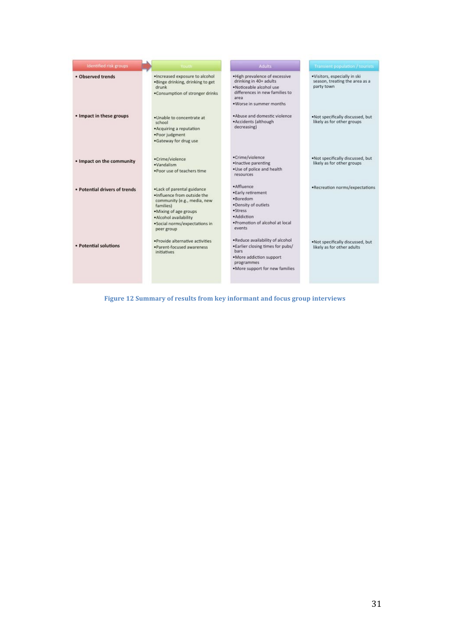| Identified risk groups        | <b>Youth</b>                                                                                                                                                                                                | Adults                                                                                                                                                     | Transient population / tourists                                              |
|-------------------------------|-------------------------------------------------------------------------------------------------------------------------------------------------------------------------------------------------------------|------------------------------------------------------------------------------------------------------------------------------------------------------------|------------------------------------------------------------------------------|
| · Observed trends             | . Increased exposure to alcohol<br>.Binge drinking, drinking to get<br>drunk<br>. Consumption of stronger drinks                                                                                            | . High prevalence of excessive<br>drinking in 40+ adults<br>· Noticeable alcohol use<br>differences in new families to<br>seas<br>. Worse in summer months | ·Visitors, especially in ski<br>season, treating the area as a<br>party town |
| • Impact in these groups      | .Unable to concentrate at<br>school<br>. Acquiring a reputation<br>·Poor judgment<br>.Gateway for drug use                                                                                                  | . Abuse and domestic violence<br>·Accidents (although<br>decreasing)                                                                                       | . Not specifically discussed, but<br>likely as for other groups              |
| . Impact on the community     | ·Crime/violence<br>·Vandalism<br>. Poor use of teachers time                                                                                                                                                | ·Crime/violence<br>· Inactive parenting<br>. Use of police and health<br>resources                                                                         | . Not specifically discussed, but<br>likely as for other groups              |
| · Potential drivers of trends | . Lack of parental guidance<br>. Influence from outside the<br>community (e.g., media, new<br>families)<br>. Mixing of age groups<br>· Alcohol availability<br>· Social norms/expectations in<br>peer group | · Affluence<br>· Early retirement<br>·Baredom<br>. Density of outlets<br>·Stress<br>· Addiction<br>. Promotion of alcohol at local<br>events               | .Recreation norms/expectations                                               |
| · Potential solutions         | · Provide alternative activities<br>·Parent-focused awareness<br><i>initiatives</i>                                                                                                                         | . Reduce availability of alcohol<br>. Earlier closing times for pubs/<br>bars<br>. More addiction support<br>programmes<br>. More support for new families | . Not specifically discussed, but<br>likely as for other adults              |

Figure 12 Summary of results from key informant and focus group interviews